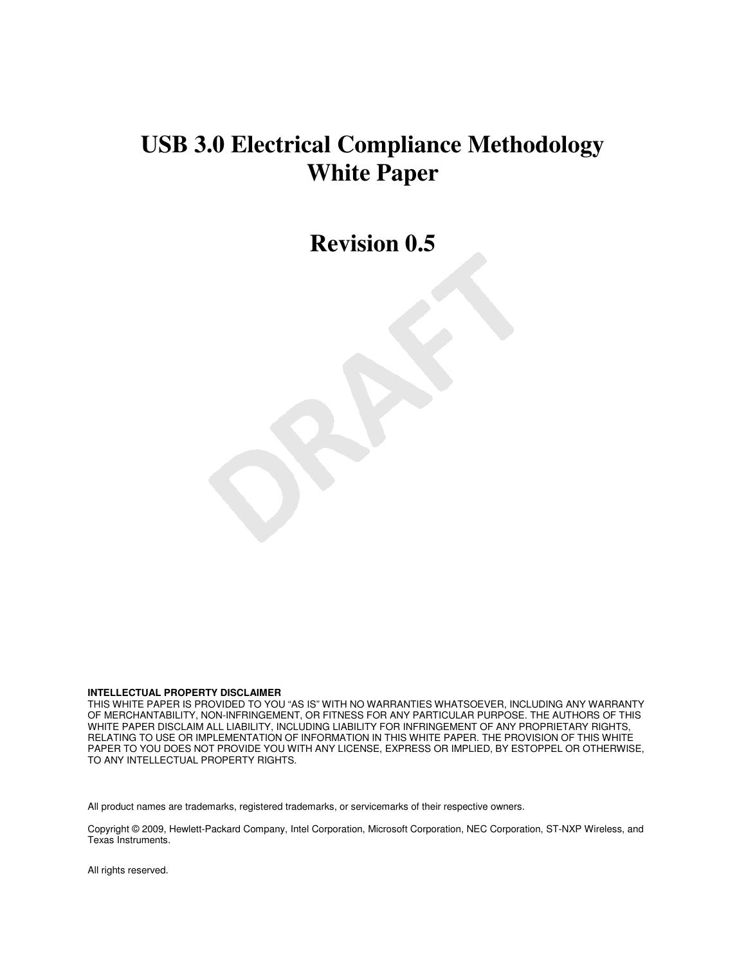# **USB 3.0 Electrical Compliance Methodology White Paper**

**Revision 0.5** 

**INTELLECTUAL PROPERTY DISCLAIMER** 

THIS WHITE PAPER IS PROVIDED TO YOU "AS IS" WITH NO WARRANTIES WHATSOEVER, INCLUDING ANY WARRANTY OF MERCHANTABILITY, NON-INFRINGEMENT, OR FITNESS FOR ANY PARTICULAR PURPOSE. THE AUTHORS OF THIS WHITE PAPER DISCLAIM ALL LIABILITY, INCLUDING LIABILITY FOR INFRINGEMENT OF ANY PROPRIETARY RIGHTS, RELATING TO USE OR IMPLEMENTATION OF INFORMATION IN THIS WHITE PAPER. THE PROVISION OF THIS WHITE PAPER TO YOU DOES NOT PROVIDE YOU WITH ANY LICENSE, EXPRESS OR IMPLIED, BY ESTOPPEL OR OTHERWISE, TO ANY INTELLECTUAL PROPERTY RIGHTS.

All product names are trademarks, registered trademarks, or servicemarks of their respective owners.

Copyright © 2009, Hewlett-Packard Company, Intel Corporation, Microsoft Corporation, NEC Corporation, ST-NXP Wireless, and Texas Instruments.

All rights reserved.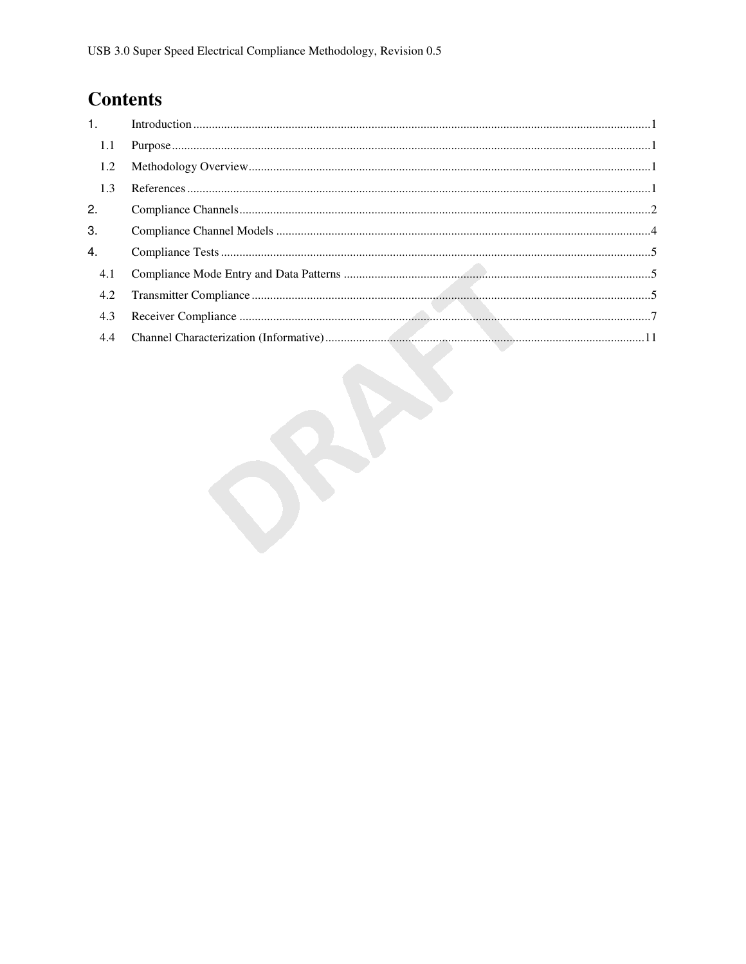# **Contents**

| 1.5 <sub>1</sub> |                                                 |  |
|------------------|-------------------------------------------------|--|
| 1.1              |                                                 |  |
| 1.2              | ${\bf Methodology \; Overview.}.\label{prop:1}$ |  |
| 1.3              |                                                 |  |
| 2.               |                                                 |  |
| 3.               |                                                 |  |
| 4.               |                                                 |  |
| 4.1              |                                                 |  |
| 4.2              |                                                 |  |
| 4.3              |                                                 |  |
|                  |                                                 |  |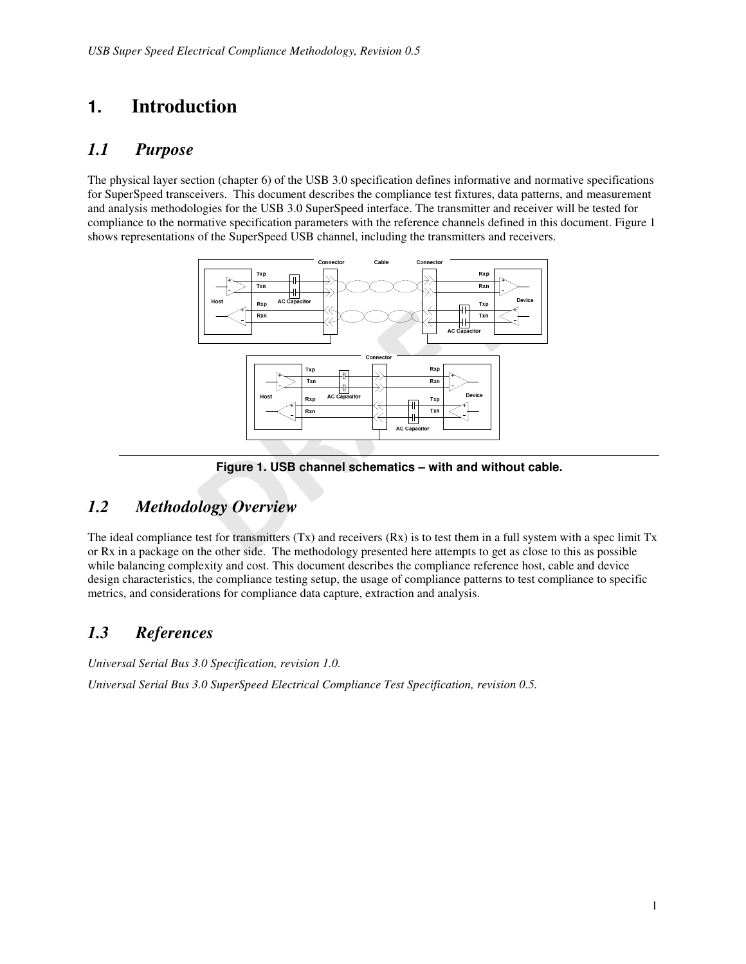# **1. Introduction**

### *1.1 Purpose*

The physical layer section (chapter 6) of the USB 3.0 specification defines informative and normative specifications for SuperSpeed transceivers. This document describes the compliance test fixtures, data patterns, and measurement and analysis methodologies for the USB 3.0 SuperSpeed interface. The transmitter and receiver will be tested for compliance to the normative specification parameters with the reference channels defined in this document. Figure 1 shows representations of the SuperSpeed USB channel, including the transmitters and receivers.



**Figure 1. USB channel schematics – with and without cable.** 

### *1.2 Methodology Overview*

The ideal compliance test for transmitters  $(Tx)$  and receivers  $(Rx)$  is to test them in a full system with a spec limit  $Tx$ or Rx in a package on the other side. The methodology presented here attempts to get as close to this as possible while balancing complexity and cost. This document describes the compliance reference host, cable and device design characteristics, the compliance testing setup, the usage of compliance patterns to test compliance to specific metrics, and considerations for compliance data capture, extraction and analysis.

## *1.3 References*

*Universal Serial Bus 3.0 Specification, revision 1.0.* 

*Universal Serial Bus 3.0 SuperSpeed Electrical Compliance Test Specification, revision 0.5.*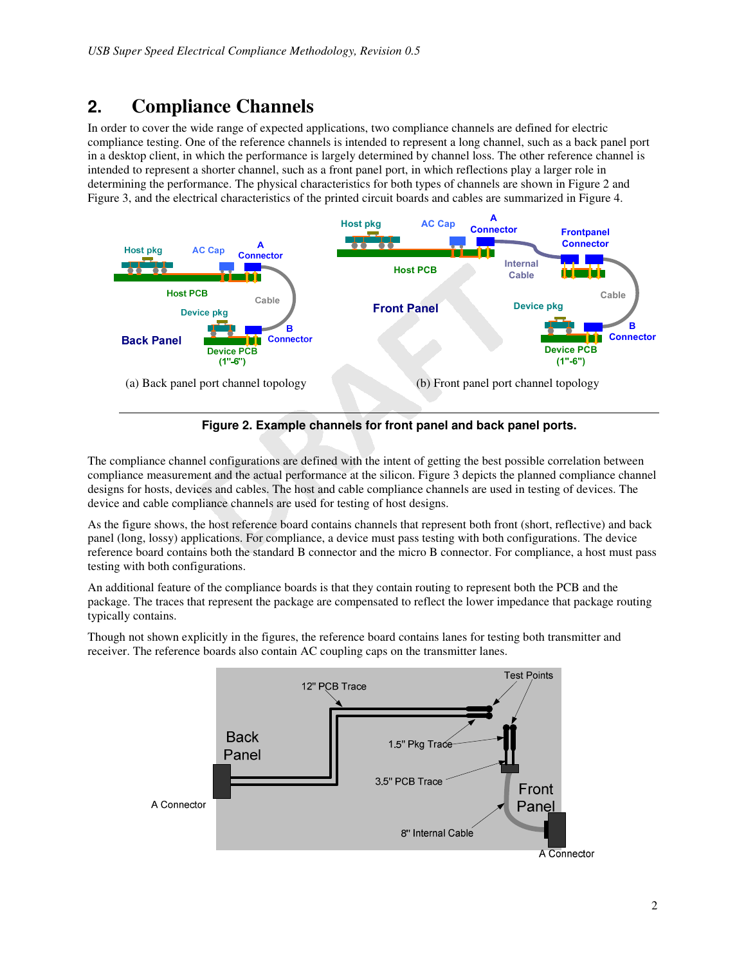# **2. Compliance Channels**

In order to cover the wide range of expected applications, two compliance channels are defined for electric compliance testing. One of the reference channels is intended to represent a long channel, such as a back panel port in a desktop client, in which the performance is largely determined by channel loss. The other reference channel is intended to represent a shorter channel, such as a front panel port, in which reflections play a larger role in determining the performance. The physical characteristics for both types of channels are shown in Figure 2 and Figure 3, and the electrical characteristics of the printed circuit boards and cables are summarized in Figure 4.





The compliance channel configurations are defined with the intent of getting the best possible correlation between compliance measurement and the actual performance at the silicon. Figure 3 depicts the planned compliance channel designs for hosts, devices and cables. The host and cable compliance channels are used in testing of devices. The device and cable compliance channels are used for testing of host designs.

As the figure shows, the host reference board contains channels that represent both front (short, reflective) and back panel (long, lossy) applications. For compliance, a device must pass testing with both configurations. The device reference board contains both the standard B connector and the micro B connector. For compliance, a host must pass testing with both configurations.

An additional feature of the compliance boards is that they contain routing to represent both the PCB and the package. The traces that represent the package are compensated to reflect the lower impedance that package routing typically contains.

Though not shown explicitly in the figures, the reference board contains lanes for testing both transmitter and receiver. The reference boards also contain AC coupling caps on the transmitter lanes.

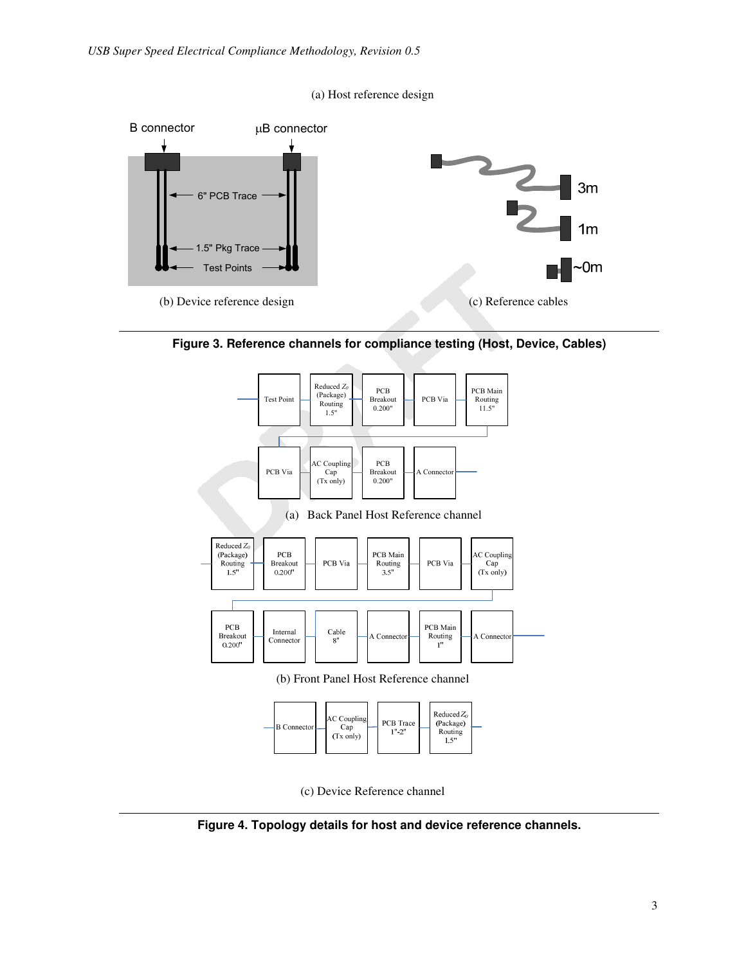







(c) Device Reference channel

**Figure 4. Topology details for host and device reference channels.**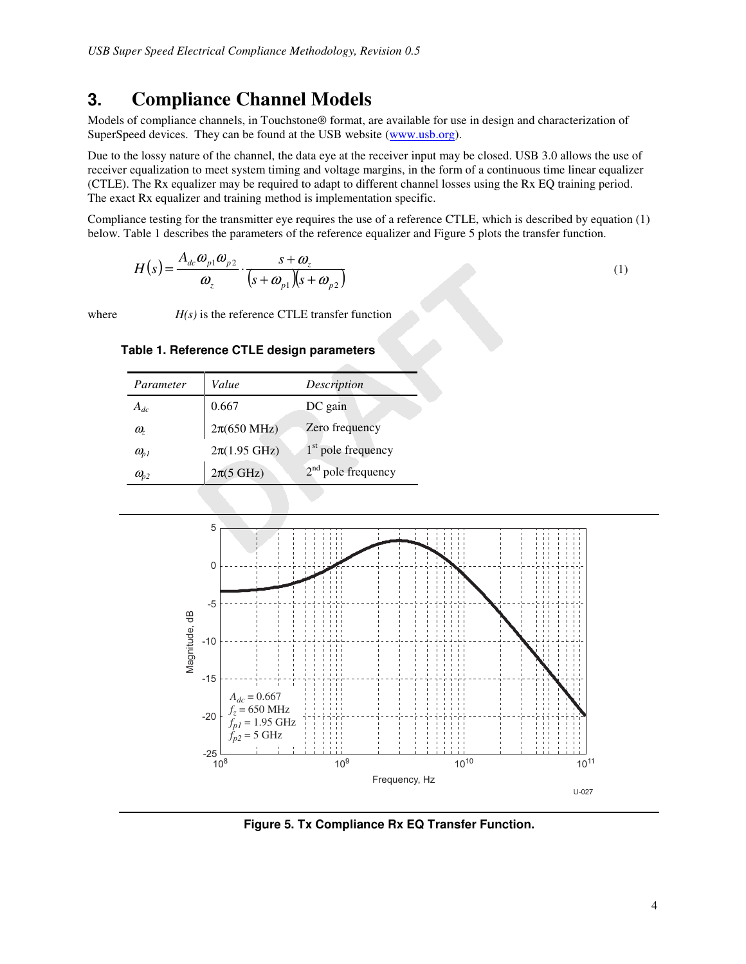# **3. Compliance Channel Models**

Models of compliance channels, in Touchstone® format, are available for use in design and characterization of SuperSpeed devices. They can be found at the USB website (www.usb.org).

Due to the lossy nature of the channel, the data eye at the receiver input may be closed. USB 3.0 allows the use of receiver equalization to meet system timing and voltage margins, in the form of a continuous time linear equalizer (CTLE). The Rx equalizer may be required to adapt to different channel losses using the Rx EQ training period. The exact Rx equalizer and training method is implementation specific.

Compliance testing for the transmitter eye requires the use of a reference CTLE, which is described by equation (1) below. Table 1 describes the parameters of the reference equalizer and Figure 5 plots the transfer function.

$$
H(s) = \frac{A_{dc}\omega_{p1}\omega_{p2}}{\omega_z} \cdot \frac{s + \omega_z}{(s + \omega_{p1})(s + \omega_{p2})}
$$
(1)

where  $H(s)$  is the reference CTLE transfer function

#### **Table 1. Reference CTLE design parameters**

| Parameter                         | Value                    | Description          |
|-----------------------------------|--------------------------|----------------------|
| $A_{dc}$                          | 0.667                    | DC gain              |
| $\omega_{\tau}$                   | $2\pi(650 \text{ MHz})$  | Zero frequency       |
| $\omega_{\scriptscriptstyle D}$   | $2\pi(1.95 \text{ GHz})$ | $1st$ pole frequency |
| $\omega_{\scriptscriptstyle{p2}}$ | $2\pi(5 \text{ GHz})$    | $2nd$ pole frequency |



**Figure 5. Tx Compliance Rx EQ Transfer Function.**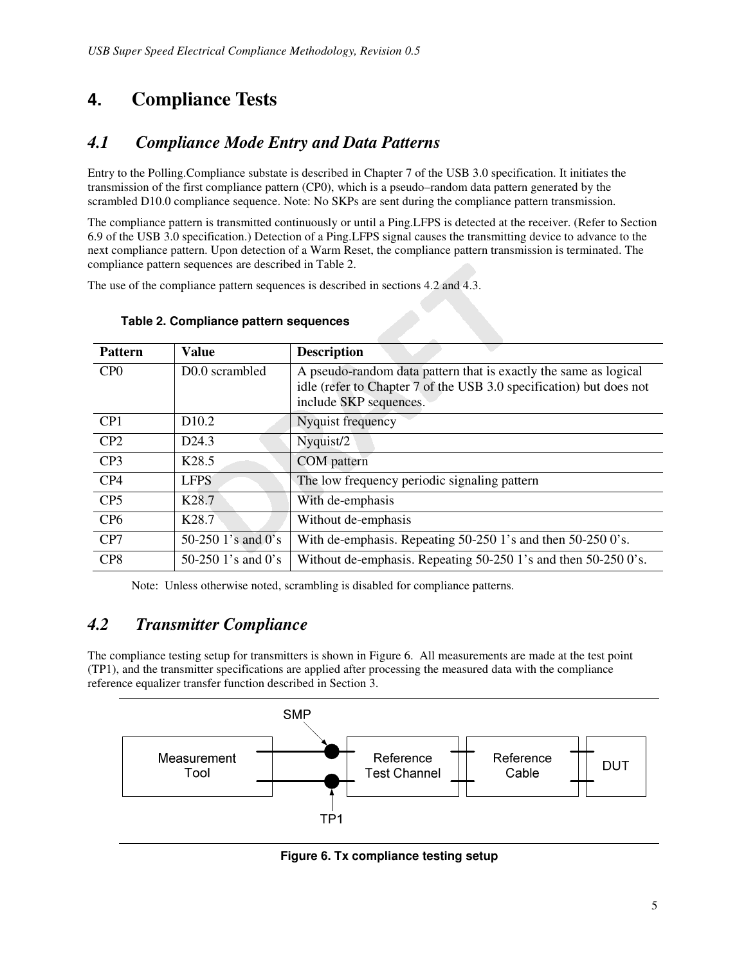# **4. Compliance Tests**

# *4.1 Compliance Mode Entry and Data Patterns*

Entry to the Polling.Compliance substate is described in Chapter 7 of the USB 3.0 specification. It initiates the transmission of the first compliance pattern (CP0), which is a pseudo–random data pattern generated by the scrambled D10.0 compliance sequence. Note: No SKPs are sent during the compliance pattern transmission.

The compliance pattern is transmitted continuously or until a Ping.LFPS is detected at the receiver. (Refer to Section 6.9 of the USB 3.0 specification.) Detection of a Ping.LFPS signal causes the transmitting device to advance to the next compliance pattern. Upon detection of a Warm Reset, the compliance pattern transmission is terminated. The compliance pattern sequences are described in Table 2.

The use of the compliance pattern sequences is described in sections 4.2 and 4.3.

| <b>Pattern</b>  | <b>Value</b>               | <b>Description</b>                                                                                                                                                |
|-----------------|----------------------------|-------------------------------------------------------------------------------------------------------------------------------------------------------------------|
| CP <sub>0</sub> | D <sub>0.0</sub> scrambled | A pseudo-random data pattern that is exactly the same as logical<br>idle (refer to Chapter 7 of the USB 3.0 specification) but does not<br>include SKP sequences. |
| CP <sub>1</sub> | D <sub>10.2</sub>          | Nyquist frequency                                                                                                                                                 |
| CP2             | D <sub>24.3</sub>          | Nyquist/2                                                                                                                                                         |
| CP <sub>3</sub> | K <sub>28.5</sub>          | <b>COM</b> pattern                                                                                                                                                |
| CP4             | <b>LFPS</b>                | The low frequency periodic signaling pattern                                                                                                                      |
| CP <sub>5</sub> | K <sub>28.7</sub>          | With de-emphasis                                                                                                                                                  |
| CP <sub>6</sub> | K <sub>28.7</sub>          | Without de-emphasis                                                                                                                                               |
| CP7             | 50-250 1's and $0$ 's      | With de-emphasis. Repeating 50-250 1's and then 50-250 0's.                                                                                                       |
| CP <sub>8</sub> | 50-250 1's and 0's         | Without de-emphasis. Repeating 50-250 1's and then 50-250 0's.                                                                                                    |

#### **Table 2. Compliance pattern sequences**

Note: Unless otherwise noted, scrambling is disabled for compliance patterns.

## *4.2 Transmitter Compliance*

The compliance testing setup for transmitters is shown in Figure 6. All measurements are made at the test point (TP1), and the transmitter specifications are applied after processing the measured data with the compliance reference equalizer transfer function described in Section 3.



**Figure 6. Tx compliance testing setup**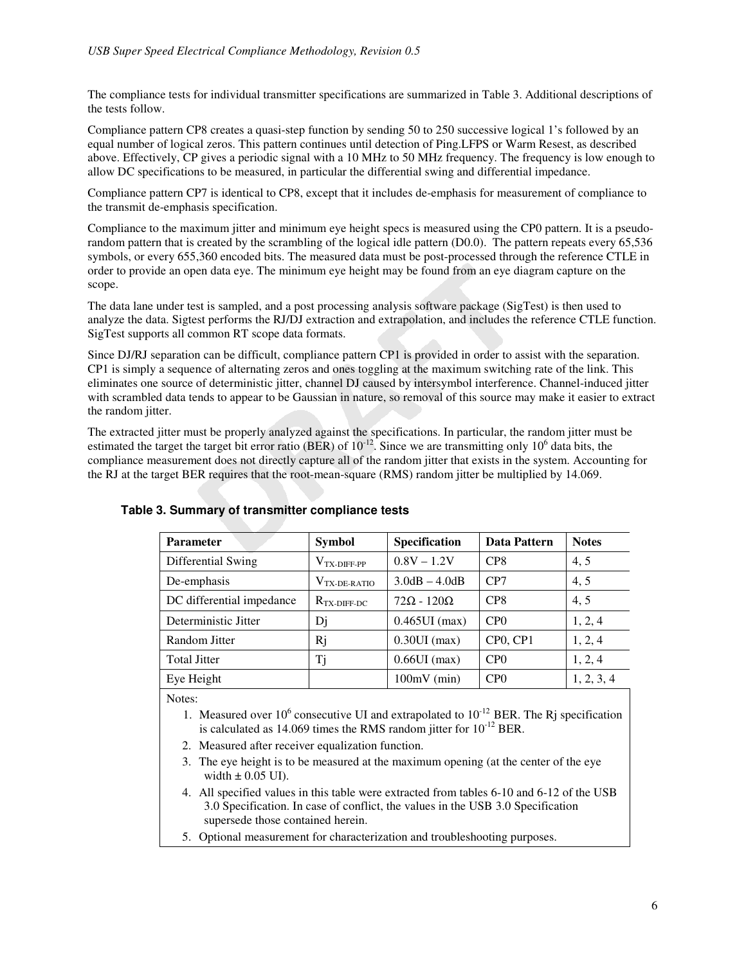The compliance tests for individual transmitter specifications are summarized in Table 3. Additional descriptions of the tests follow.

Compliance pattern CP8 creates a quasi-step function by sending 50 to 250 successive logical 1's followed by an equal number of logical zeros. This pattern continues until detection of Ping.LFPS or Warm Resest, as described above. Effectively, CP gives a periodic signal with a 10 MHz to 50 MHz frequency. The frequency is low enough to allow DC specifications to be measured, in particular the differential swing and differential impedance.

Compliance pattern CP7 is identical to CP8, except that it includes de-emphasis for measurement of compliance to the transmit de-emphasis specification.

Compliance to the maximum jitter and minimum eye height specs is measured using the CP0 pattern. It is a pseudorandom pattern that is created by the scrambling of the logical idle pattern (D0.0). The pattern repeats every 65,536 symbols, or every 655,360 encoded bits. The measured data must be post-processed through the reference CTLE in order to provide an open data eye. The minimum eye height may be found from an eye diagram capture on the scope.

The data lane under test is sampled, and a post processing analysis software package (SigTest) is then used to analyze the data. Sigtest performs the RJ/DJ extraction and extrapolation, and includes the reference CTLE function. SigTest supports all common RT scope data formats.

Since DJ/RJ separation can be difficult, compliance pattern CP1 is provided in order to assist with the separation. CP1 is simply a sequence of alternating zeros and ones toggling at the maximum switching rate of the link. This eliminates one source of deterministic jitter, channel DJ caused by intersymbol interference. Channel-induced jitter with scrambled data tends to appear to be Gaussian in nature, so removal of this source may make it easier to extract the random jitter.

The extracted jitter must be properly analyzed against the specifications. In particular, the random jitter must be estimated the target the target bit error ratio (BER) of  $10^{-12}$ . Since we are transmitting only  $10^6$  data bits, the compliance measurement does not directly capture all of the random jitter that exists in the system. Accounting for the RJ at the target BER requires that the root-mean-square (RMS) random jitter be multiplied by 14.069.

| <b>Parameter</b>          | <b>Symbol</b>                | Specification          | Data Pattern     | <b>Notes</b> |
|---------------------------|------------------------------|------------------------|------------------|--------------|
| Differential Swing        | $V_{TX-DIFF-PP}$             | $0.8V - 1.2V$          | CP <sub>8</sub>  | 4, 5         |
| De-emphasis               | $\rm V_{TX-DE\text{-}RATIO}$ | $3.0dB - 4.0dB$        | CP7              | 4, 5         |
| DC differential impedance | $R_{TX-DIFF-DC}$             | $72\Omega - 120\Omega$ | CP <sub>8</sub>  | 4, 5         |
| Deterministic Jitter      | Dj                           | $0.465$ UI $(max)$     | CP <sub>0</sub>  | 1, 2, 4      |
| Random Jitter             | Rj                           | $0.30$ UI $(max)$      | CP0, CP1         | 1, 2, 4      |
| <b>Total Jitter</b>       | Tj                           | $0.66$ UI $(max)$      | CP <sub>0</sub>  | 1, 2, 4      |
| Eye Height                |                              | $100mV$ (min)          | C <sub>P</sub> O | 1, 2, 3, 4   |

#### **Table 3. Summary of transmitter compliance tests**

Notes:

- 1. Measured over  $10^6$  consecutive UI and extrapolated to  $10^{-12}$  BER. The Rj specification is calculated as 14.069 times the RMS random jitter for  $10^{-12}$  BER.
- 2. Measured after receiver equalization function.
- 3. The eye height is to be measured at the maximum opening (at the center of the eye width  $\pm$  0.05 UI).
- 4. All specified values in this table were extracted from tables 6-10 and 6-12 of the USB 3.0 Specification. In case of conflict, the values in the USB 3.0 Specification supersede those contained herein.
- 5. Optional measurement for characterization and troubleshooting purposes.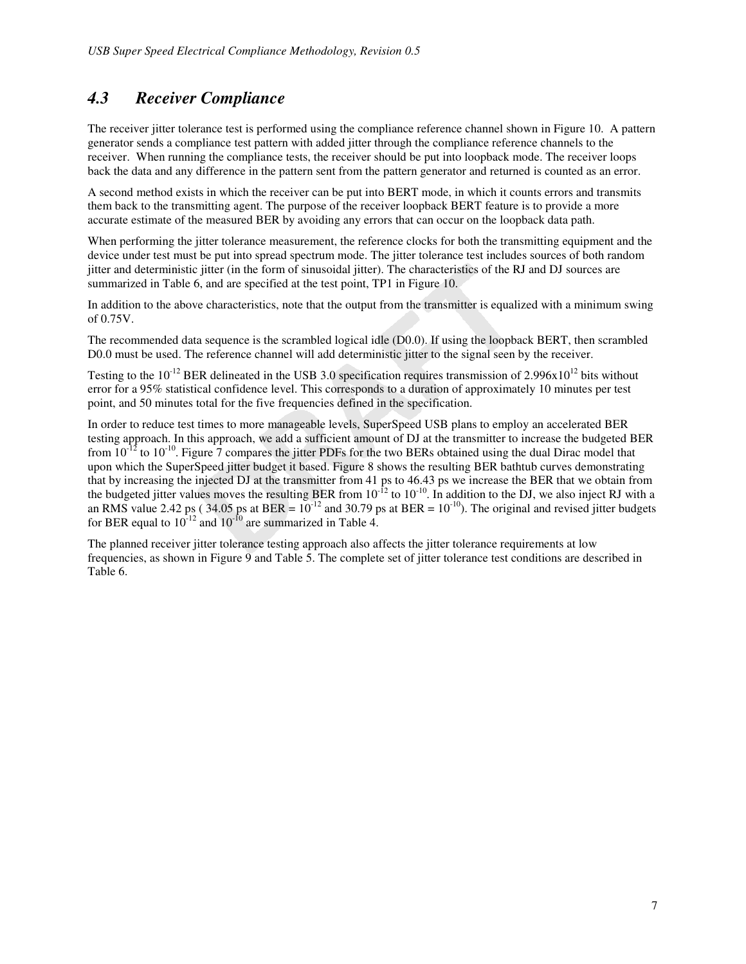### *4.3 Receiver Compliance*

The receiver jitter tolerance test is performed using the compliance reference channel shown in Figure 10. A pattern generator sends a compliance test pattern with added jitter through the compliance reference channels to the receiver. When running the compliance tests, the receiver should be put into loopback mode. The receiver loops back the data and any difference in the pattern sent from the pattern generator and returned is counted as an error.

A second method exists in which the receiver can be put into BERT mode, in which it counts errors and transmits them back to the transmitting agent. The purpose of the receiver loopback BERT feature is to provide a more accurate estimate of the measured BER by avoiding any errors that can occur on the loopback data path.

When performing the jitter tolerance measurement, the reference clocks for both the transmitting equipment and the device under test must be put into spread spectrum mode. The jitter tolerance test includes sources of both random jitter and deterministic jitter (in the form of sinusoidal jitter). The characteristics of the RJ and DJ sources are summarized in Table 6, and are specified at the test point, TP1 in Figure 10.

In addition to the above characteristics, note that the output from the transmitter is equalized with a minimum swing of 0.75V.

The recommended data sequence is the scrambled logical idle (D0.0). If using the loopback BERT, then scrambled D0.0 must be used. The reference channel will add deterministic jitter to the signal seen by the receiver.

Testing to the  $10^{-12}$  BER delineated in the USB 3.0 specification requires transmission of 2.996x10<sup>12</sup> bits without error for a 95% statistical confidence level. This corresponds to a duration of approximately 10 minutes per test point, and 50 minutes total for the five frequencies defined in the specification.

In order to reduce test times to more manageable levels, SuperSpeed USB plans to employ an accelerated BER testing approach. In this approach, we add a sufficient amount of DJ at the transmitter to increase the budgeted BER from  $10^{-12}$  to  $10^{-10}$ . Figure 7 compares the jitter PDFs for the two BERs obtained using the dual Dirac model that upon which the SuperSpeed jitter budget it based. Figure 8 shows the resulting BER bathtub curves demonstrating that by increasing the injected DJ at the transmitter from 41 ps to 46.43 ps we increase the BER that we obtain from the budgeted jitter values moves the resulting BER from  $10^{-12}$  to  $10^{-10}$ . In addition to the DJ, we also inject RJ with a an RMS value 2.42 ps (34.05 ps at BER =  $10^{-12}$  and 30.79 ps at BER =  $10^{-10}$ ). The original and revised jitter budgets for BER equal to  $10^{-12}$  and  $10^{-10}$  are summarized in Table 4.

The planned receiver jitter tolerance testing approach also affects the jitter tolerance requirements at low frequencies, as shown in Figure 9 and Table 5. The complete set of jitter tolerance test conditions are described in Table 6.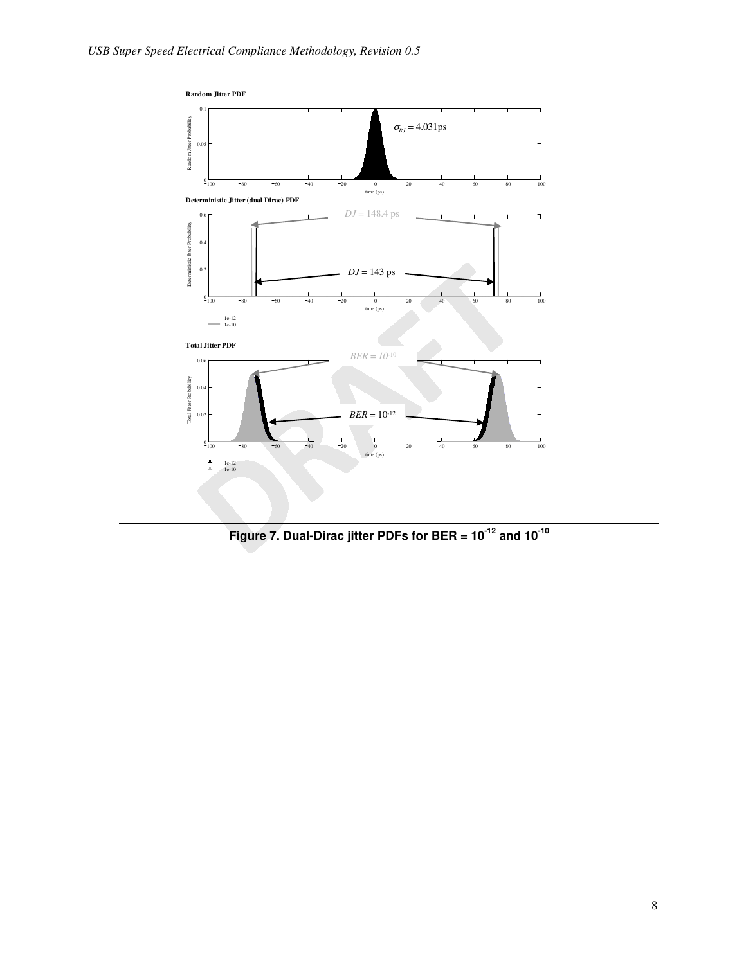

**Figure 7. Dual-Dirac jitter PDFs for BER = 10-12 and 10-10**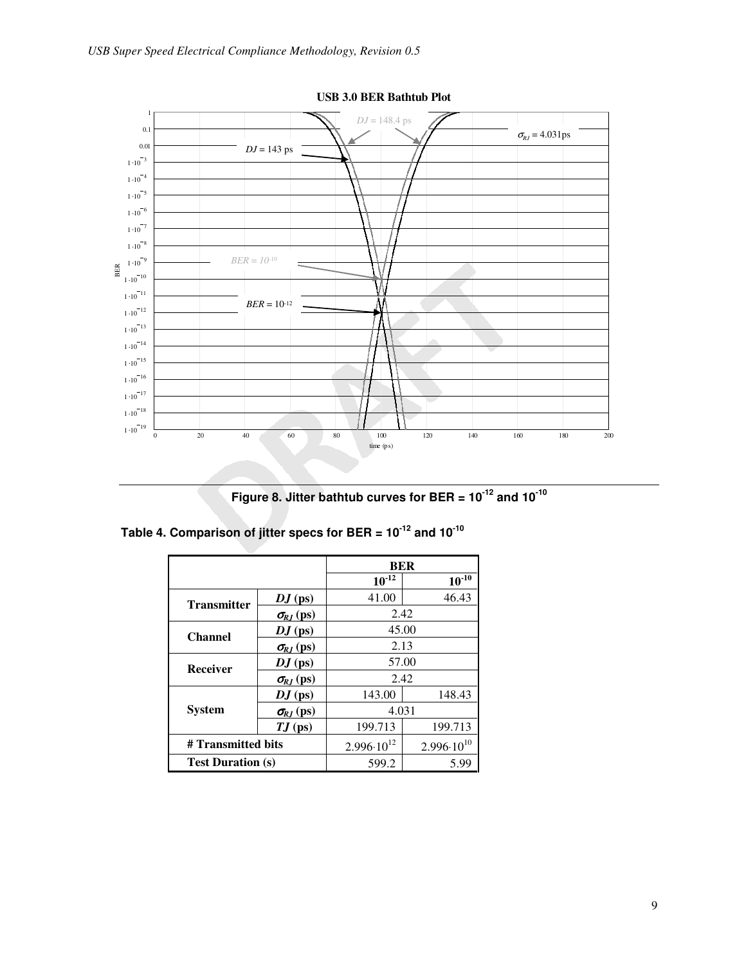

**USB 3.0 BER Bathtub Plot** 

**Figure 8. Jitter bathtub curves for BER = 10-12 and 10-10**

|                          |                     | <b>BER</b>            |                       |  |
|--------------------------|---------------------|-----------------------|-----------------------|--|
|                          |                     | $10^{12}$             | $10^{-10}$            |  |
| <b>Transmitter</b>       | $DJ$ (ps)           | 41.00                 | 46.43                 |  |
|                          | $\sigma_{RJ}$ (ps)  | 2.42                  |                       |  |
| <b>Channel</b>           | $DJ$ (ps)           | 45.00                 |                       |  |
|                          | $\sigma_{RJ}$ (ps)  | 2.13                  |                       |  |
| Receiver                 | $DJ$ (ps)           | 57.00                 |                       |  |
|                          | $\sigma_{R,I}$ (ps) | 2.42                  |                       |  |
|                          | $DJ$ (ps)           | 143.00                | 148.43                |  |
| <b>System</b>            | $\sigma_{RI}$ (ps)  | 4.031                 |                       |  |
|                          | $TJ$ (ps)           | 199.713               | 199.713               |  |
| # Transmitted bits       |                     | $2.996 \cdot 10^{12}$ | $2.996 \cdot 10^{10}$ |  |
| <b>Test Duration (s)</b> |                     | 599.2                 | 5.99                  |  |

**Table 4. Comparison of jitter specs for BER = 10-12 and 10-10**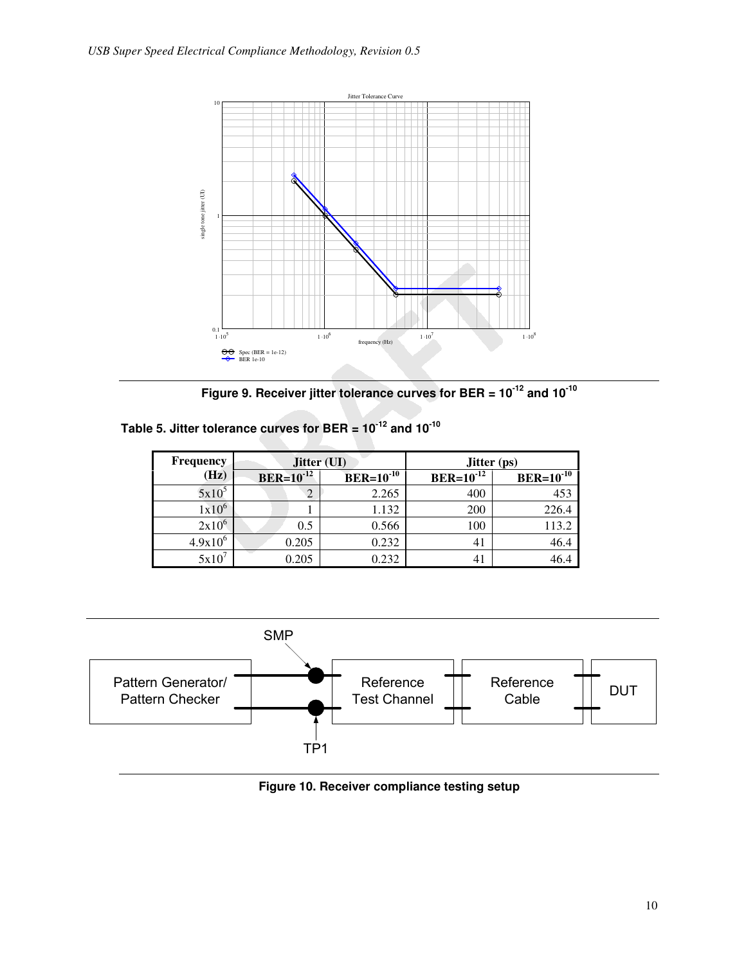

**Figure 9. Receiver jitter tolerance curves for BER = 10-12 and 10-10**

| Table 5. Jitter tolerance curves for BER = $10^{-12}$ and $10^{-10}$ |  |  |
|----------------------------------------------------------------------|--|--|
|----------------------------------------------------------------------|--|--|

| <b>Frequency</b> | Jitter (UI)      |                | <b>Jitter</b> (ps) |                |  |
|------------------|------------------|----------------|--------------------|----------------|--|
| (Hz)             | $BER = 10^{-12}$ | $BER=10^{-10}$ |                    | $BER=10^{-10}$ |  |
| $5x10^5$         |                  | 2.265          | 400                | 453            |  |
| $1x10^6$         |                  | 1.132          | 200                | 226.4          |  |
| $2x10^6$         | 0.5              | 0.566          | 100                | 113.2          |  |
| $4.9x10^{6}$     | 0.205            | 0.232          | 41                 | 46.4           |  |
| $5x10^7$         | 0.205            | 0.232          |                    | 46.4           |  |



**Figure 10. Receiver compliance testing setup**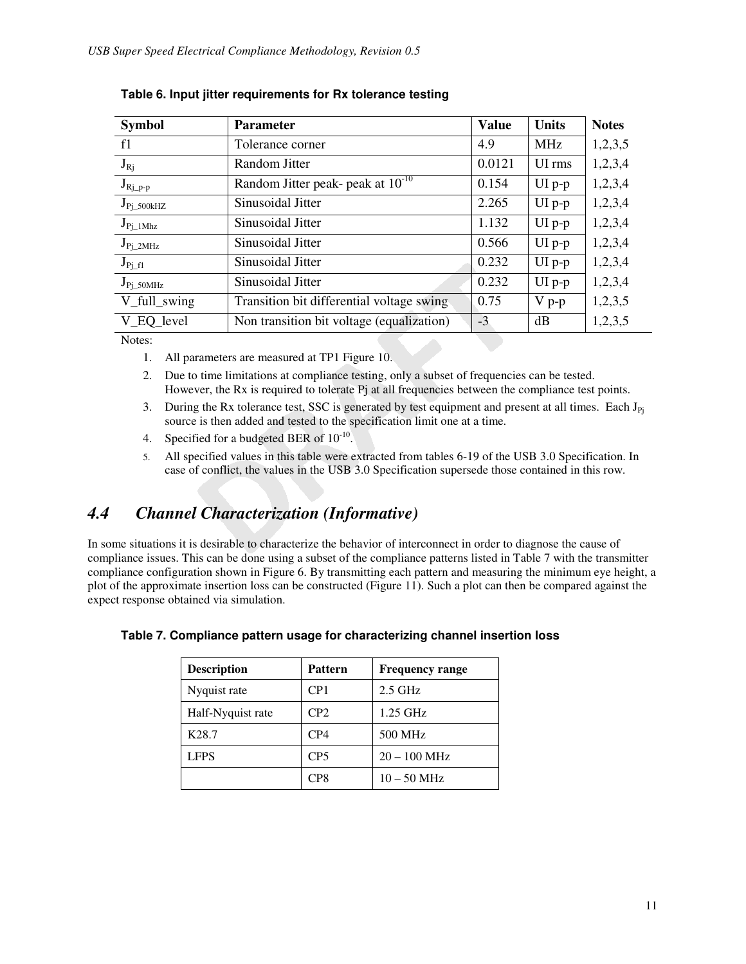| <b>Parameter</b>                          | <b>Value</b> | <b>Units</b> | <b>Notes</b> |
|-------------------------------------------|--------------|--------------|--------------|
| Tolerance corner                          | 4.9          | <b>MHz</b>   | 1,2,3,5      |
| Random Jitter                             | 0.0121       | UI rms       | 1,2,3,4      |
| Random Jitter peak- peak at $10^{-10}$    | 0.154        | $UI$ p-p     | 1,2,3,4      |
| Sinusoidal Jitter                         | 2.265        | $UI$ p-p     | 1,2,3,4      |
| Sinusoidal Jitter                         | 1.132        | $UI p-p$     | 1,2,3,4      |
| Sinusoidal Jitter                         | 0.566        | $UI$ p-p     | 1,2,3,4      |
| Sinusoidal Jitter                         | 0.232        | $UI$ p-p     | 1,2,3,4      |
| Sinusoidal Jitter                         | 0.232        | $UI p-p$     | 1,2,3,4      |
| Transition bit differential voltage swing | 0.75         | $V p-p$      | 1,2,3,5      |
| Non transition bit voltage (equalization) | $-3$         | dB           | 1,2,3,5      |
|                                           |              |              |              |

|  |  |  |  | Table 6. Input jitter requirements for Rx tolerance testing |
|--|--|--|--|-------------------------------------------------------------|
|--|--|--|--|-------------------------------------------------------------|

Notes:

- 1. All parameters are measured at TP1 Figure 10.
- 2. Due to time limitations at compliance testing, only a subset of frequencies can be tested. However, the Rx is required to tolerate Pj at all frequencies between the compliance test points.
- 3. During the Rx tolerance test, SSC is generated by test equipment and present at all times. Each  $J_{Pj}$ source is then added and tested to the specification limit one at a time.
- 4. Specified for a budgeted BER of  $10^{-10}$ .
- 5. All specified values in this table were extracted from tables 6-19 of the USB 3.0 Specification. In case of conflict, the values in the USB 3.0 Specification supersede those contained in this row.

### *4.4 Channel Characterization (Informative)*

In some situations it is desirable to characterize the behavior of interconnect in order to diagnose the cause of compliance issues. This can be done using a subset of the compliance patterns listed in Table 7 with the transmitter compliance configuration shown in Figure 6. By transmitting each pattern and measuring the minimum eye height, a plot of the approximate insertion loss can be constructed (Figure 11). Such a plot can then be compared against the expect response obtained via simulation.

| <b>Description</b> | <b>Pattern</b>  | <b>Frequency range</b> |
|--------------------|-----------------|------------------------|
| Nyquist rate       | CP <sub>1</sub> | $2.5$ GHz              |
| Half-Nyquist rate  | CP2             | $1.25$ GHz             |
| K <sub>28.7</sub>  | CP4             | 500 MHz                |
| <b>LFPS</b>        | CP <sub>5</sub> | $20 - 100$ MHz         |
|                    | CP <sub>8</sub> | $10 - 50$ MHz          |

|  | Table 7. Compliance pattern usage for characterizing channel insertion loss |  |  |
|--|-----------------------------------------------------------------------------|--|--|
|  |                                                                             |  |  |